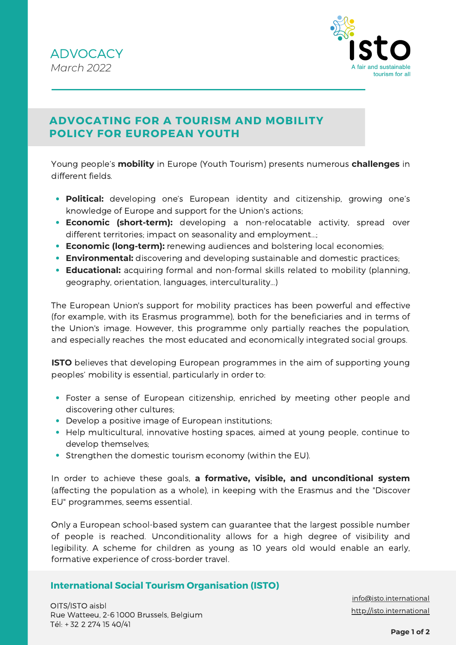

# **ADVOCATING FOR A TOURISM AND MOBILITY POLICY FOR EUROPEAN YOUTH**

Young people's **mobility** in Europe (Youth Tourism) presents numerous **challenges** in different fields.

- **Political:** developing one's European identity and citizenship, growing one's knowledge of Europe and support for the Union's actions;
- **Economic (short-term):** developing a non-relocatable activity, spread over different territories; impact on seasonality and employment…;
- **Economic (long-term):** renewing audiences and bolstering local economies;
- **Environmental:** discovering and developing sustainable and domestic practices;
- **Educational:** acquiring formal and non-formal skills related to mobility (planning, geography, orientation, languages, interculturality…)

The European Union's support for mobility practices has been powerful and effective (for example, with its Erasmus programme), both for the beneficiaries and in terms of the Union's image. However, this programme only partially reaches the population, and especially reaches the most educated and economically integrated social groups.

**ISTO** believes that developing European programmes in the aim of supporting young peoples' mobility is essential, particularly in order to:

- Foster a sense of European citizenship, enriched by meeting other people and discovering other cultures;
- Develop a positive image of European institutions;
- Help multicultural, innovative hosting spaces, aimed at young people, continue to develop themselves;
- Strengthen the domestic tourism economy (within the EU).

In order to achieve these goals, **a formative, visible, and unconditional system** (affecting the population as a whole), in keeping with the Erasmus and the "Discover EU" programmes, seems essential.

Only a European school-based system can guarantee that the largest possible number of people is reached. Unconditionality allows for a high degree of visibility and legibility. A scheme for children as young as 10 years old would enable an early, formative experience of cross-border travel.

# **International Social Tourism Organisation (ISTO)**

OITS/ISTO aisbl Rue Watteeu, 2-6 1000 Brussels, Belgium Tél: + 32 2 274 15 40/41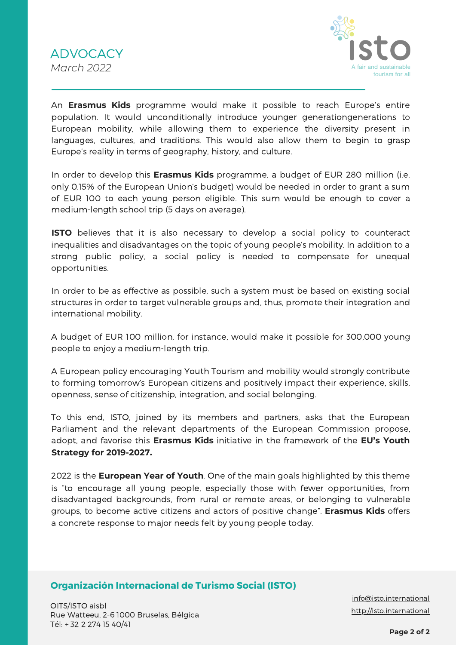



An **Erasmus Kids** programme would make it possible to reach Europe's entire population. It would unconditionally introduce younger generationgenerations to European mobility, while allowing them to experience the diversity present in languages, cultures, and traditions. This would also allow them to begin to grasp Europe's reality in terms of geography, history, and culture.

In order to develop this **Erasmus Kids** programme, a budget of EUR 280 million (i.e. only 0.15% of the European Union's budget) would be needed in order to grant a sum of EUR 100 to each young person eligible. This sum would be enough to cover a medium-length school trip (5 days on average).

**ISTO** believes that it is also necessary to develop a social policy to counteract inequalities and disadvantages on the topic of young people's mobility. In addition to a strong public policy, a social policy is needed to compensate for unequal opportunities.

In order to be as effective as possible, such a system must be based on existing social structures in order to target vulnerable groups and, thus, promote their integration and international mobility.

A budget of EUR 100 million, for instance, would make it possible for 300,000 young people to enjoy a medium-length trip.

A European policy encouraging Youth Tourism and mobility would strongly contribute to forming tomorrow's European citizens and positively impact their experience, skills, openness, sense of citizenship, integration, and social belonging.

To this end, ISTO, joined by its members and partners, asks that the European Parliament and the relevant departments of the European Commission propose, adopt, and favorise this **Erasmus Kids** initiative in the framework of the **EU's Youth Strategy for 2019-2027.**

2022 is the **European Year of Youth**. One of the main goals highlighted by this theme is "to encourage all young people, especially those with fewer opportunities, from disadvantaged backgrounds, from rural or remote areas, or belonging to vulnerable groups, to become active citizens and actors of positive change". **Erasmus Kids** offers a concrete response to major needs felt by young people today.

# **Organización Internacional de Turismo Social (ISTO)**

OITS/ISTO aisbl Rue Watteeu, 2-6 1000 Bruselas, Bélgica Tél: + 32 2 274 15 40/41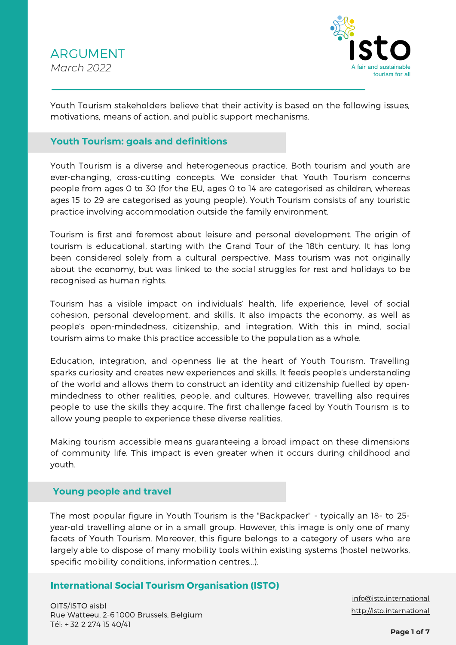

Youth Tourism stakeholders believe that their activity is based on the following issues, motivations, means of action, and public support mechanisms.

### **Youth Tourism: goals and definitions**

Youth Tourism is a diverse and heterogeneous practice. Both tourism and youth are ever-changing, cross-cutting concepts. We consider that Youth Tourism concerns people from ages 0 to 30 (for the EU, ages 0 to 14 are categorised as children, whereas ages 15 to 29 are categorised as young people). Youth Tourism consists of any touristic practice involving accommodation outside the family environment.

Tourism is first and foremost about leisure and personal development. The origin of tourism is educational, starting with the Grand Tour of the 18th century. It has long been considered solely from a cultural perspective. Mass tourism was not originally about the economy, but was linked to the social struggles for rest and holidays to be recognised as human rights.

Tourism has a visible impact on individuals' health, life experience, level of social cohesion, personal development, and skills. It also impacts the economy, as well as people's open-mindedness, citizenship, and integration. With this in mind, social tourism aims to make this practice accessible to the population as a whole.

Education, integration, and openness lie at the heart of Youth Tourism. Travelling sparks curiosity and creates new experiences and skills. It feeds people's understanding of the world and allows them to construct an identity and citizenship fuelled by openmindedness to other realities, people, and cultures. However, travelling also requires people to use the skills they acquire. The first challenge faced by Youth Tourism is to allow young people to experience these diverse realities.

Making tourism accessible means guaranteeing a broad impact on these dimensions of community life. This impact is even greater when it occurs during childhood and youth.

### **Young people and travel**

The most popular figure in Youth Tourism is the "Backpacker" - typically an 18- to 25 year-old travelling alone or in a small group. However, this image is only one of many facets of Youth Tourism. Moreover, this figure belongs to a category of users who are largely able to dispose of many mobility tools within existing systems (hostel networks, specific mobility conditions, information centres...).

# **International Social Tourism Organisation (ISTO)**

OITS/ISTO aisbl Rue Watteeu, 2-6 1000 Brussels, Belgium Tél: + 32 2 274 15 40/41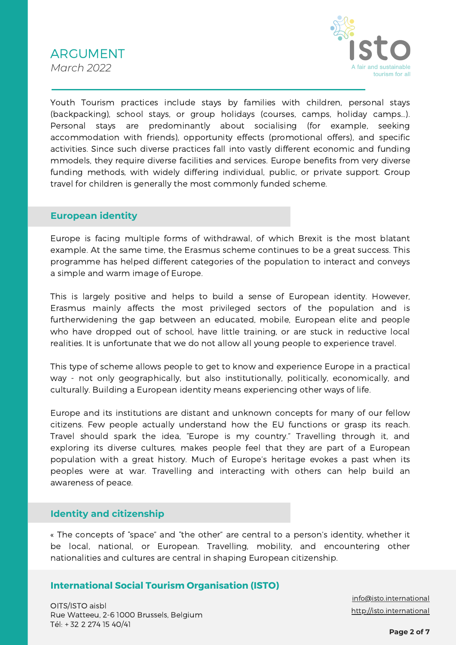ARGUMENT *March 2022*



Youth Tourism practices include stays by families with children, personal stays (backpacking), school stays, or group holidays (courses, camps, holiday camps…). Personal stays are predominantly about socialising (for example, seeking accommodation with friends), opportunity effects (promotional offers), and specific activities. Since such diverse practices fall into vastly different economic and funding mmodels, they require diverse facilities and services. Europe benefits from very diverse funding methods, with widely differing individual, public, or private support. Group travel for children is generally the most commonly funded scheme.

#### **European identity**

Europe is facing multiple forms of withdrawal, of which Brexit is the most blatant example. At the same time, the Erasmus scheme continues to be a great success. This programme has helped different categories of the population to interact and conveys a simple and warm image of Europe.

This is largely positive and helps to build a sense of European identity. However, Erasmus mainly affects the most privileged sectors of the population and is furtherwidening the gap between an educated, mobile, European elite and people who have dropped out of school, have little training, or are stuck in reductive local realities. It is unfortunate that we do not allow all young people to experience travel.

This type of scheme allows people to get to know and experience Europe in a practical way - not only geographically, but also institutionally, politically, economically, and culturally. Building a European identity means experiencing other ways of life.

Europe and its institutions are distant and unknown concepts for many of our fellow citizens. Few people actually understand how the EU functions or grasp its reach. Travel should spark the idea, "Europe is my country." Travelling through it, and exploring its diverse cultures, makes people feel that they are part of a European population with a great history. Much of Europe's heritage evokes a past when its peoples were at war. Travelling and interacting with others can help build an awareness of peace.

#### **Identity and citizenship**

« The concepts of "space" and "the other" are central to a person's identity, whether it be local, national, or European. Travelling, mobility, and encountering other nationalities and cultures are central in shaping European citizenship.

# **International Social Tourism Organisation (ISTO)**

OITS/ISTO aisbl Rue Watteeu, 2-6 1000 Brussels, Belgium Tél: + 32 2 274 15 40/41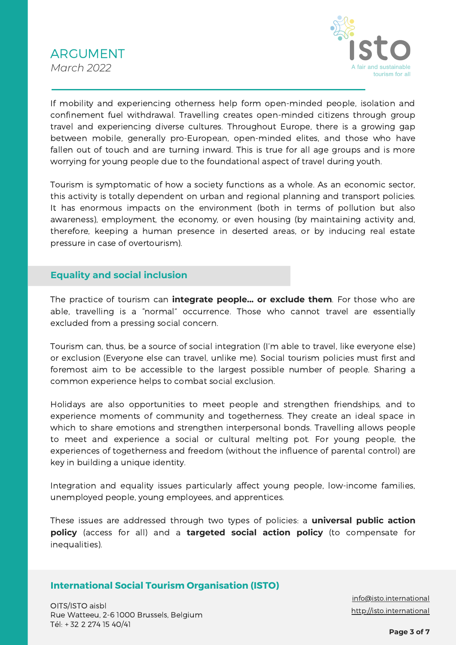

If mobility and experiencing otherness help form open-minded people, isolation and confinement fuel withdrawal. Travelling creates open-minded citizens through group travel and experiencing diverse cultures. Throughout Europe, there is a growing gap between mobile, generally pro-European, open-minded elites, and those who have fallen out of touch and are turning inward. This is true for all age groups and is more worrying for young people due to the foundational aspect of travel during youth.

Tourism is symptomatic of how a society functions as a whole. As an economic sector, this activity is totally dependent on urban and regional planning and transport policies. It has enormous impacts on the environment (both in terms of pollution but also awareness), employment, the economy, or even housing (by maintaining activity and, therefore, keeping a human presence in deserted areas, or by inducing real estate pressure in case of overtourism).

# **Equality and social inclusion**

The practice of tourism can **integrate people... or exclude them**. For those who are able, travelling is a "normal" occurrence. Those who cannot travel are essentially excluded from a pressing social concern.

Tourism can, thus, be a source of social integration (I'm able to travel, like everyone else) or exclusion (Everyone else can travel, unlike me). Social tourism policies must first and foremost aim to be accessible to the largest possible number of people. Sharing a common experience helps to combat social exclusion.

Holidays are also opportunities to meet people and strengthen friendships, and to experience moments of community and togetherness. They create an ideal space in which to share emotions and strengthen interpersonal bonds. Travelling allows people to meet and experience a social or cultural melting pot. For young people, the experiences of togetherness and freedom (without the influence of parental control) are key in building a unique identity.

Integration and equality issues particularly affect young people, low-income families, unemployed people, young employees, and apprentices.

These issues are addressed through two types of policies: a **universal public action policy** (access for all) and a **targeted social action policy** (to compensate for inequalities).

# **International Social Tourism Organisation (ISTO)**

OITS/ISTO aisbl Rue Watteeu, 2-6 1000 Brussels, Belgium Tél: + 32 2 274 15 40/41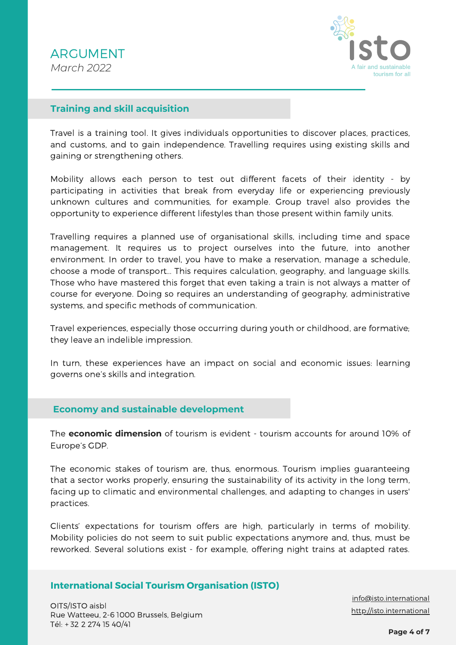

### **Training and skill acquisition**

Travel is a training tool. It gives individuals opportunities to discover places, practices, and customs, and to gain independence. Travelling requires using existing skills and gaining or strengthening others.

Mobility allows each person to test out different facets of their identity - by participating in activities that break from everyday life or experiencing previously unknown cultures and communities, for example. Group travel also provides the opportunity to experience different lifestyles than those present within family units.

Travelling requires a planned use of organisational skills, including time and space management. It requires us to project ourselves into the future, into another environment. In order to travel, you have to make a reservation, manage a schedule, choose a mode of transport... This requires calculation, geography, and language skills. Those who have mastered this forget that even taking a train is not always a matter of course for everyone. Doing so requires an understanding of geography, administrative systems, and specific methods of communication.

Travel experiences, especially those occurring during youth or childhood, are formative; they leave an indelible impression.

In turn, these experiences have an impact on social and economic issues: learning governs one's skills and integration.

### **Economy and sustainable development**

The **economic dimension** of tourism is evident - tourism accounts for around 10% of Europe's GDP.

The economic stakes of tourism are, thus, enormous. Tourism implies guaranteeing that a sector works properly, ensuring the sustainability of its activity in the long term, facing up to climatic and environmental challenges, and adapting to changes in users' practices.

Clients' expectations for tourism offers are high, particularly in terms of mobility. Mobility policies do not seem to suit public expectations anymore and, thus, must be reworked. Several solutions exist - for example, offering night trains at adapted rates.

# **International Social Tourism Organisation (ISTO)**

OITS/ISTO aisbl Rue Watteeu, 2-6 1000 Brussels, Belgium Tél: + 32 2 274 15 40/41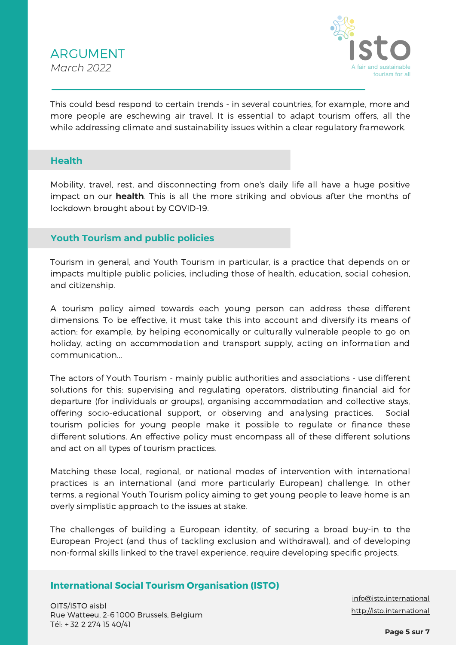

This could besd respond to certain trends - in several countries, for example, more and more people are eschewing air travel. It is essential to adapt tourism offers, all the while addressing climate and sustainability issues within a clear regulatory framework.

### **Health**

Mobility, travel, rest, and disconnecting from one's daily life all have a huge positive impact on our **health**. This is all the more striking and obvious after the months of lockdown brought about by COVID-19.

# **Youth Tourism and public policies**

Tourism in general, and Youth Tourism in particular, is a practice that depends on or impacts multiple public policies, including those of health, education, social cohesion, and citizenship.

A tourism policy aimed towards each young person can address these different dimensions. To be effective, it must take this into account and diversify its means of action: for example, by helping economically or culturally vulnerable people to go on holiday, acting on accommodation and transport supply, acting on information and communication...

The actors of Youth Tourism - mainly public authorities and associations - use different solutions for this: supervising and regulating operators, distributing financial aid for departure (for individuals or groups), organising accommodation and collective stays, offering socio-educational support, or observing and analysing practices. Social tourism policies for young people make it possible to regulate or finance these different solutions. An effective policy must encompass all of these different solutions and act on all types of tourism practices.

Matching these local, regional, or national modes of intervention with international practices is an international (and more particularly European) challenge. In other terms, a regional Youth Tourism policy aiming to get young people to leave home is an overly simplistic approach to the issues at stake.

The challenges of building a European identity, of securing a broad buy-in to the European Project (and thus of tackling exclusion and withdrawal), and of developing non-formal skills linked to the travel experience, require developing specific projects.

# **International Social Tourism Organisation (ISTO)**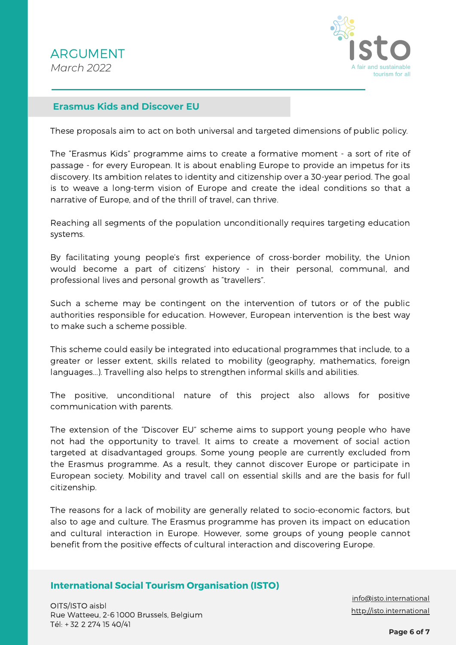

### **Erasmus Kids and Discover EU**

These proposals aim to act on both universal and targeted dimensions of public policy.

The "Erasmus Kids" programme aims to create a formative moment - a sort of rite of passage - for every European. It is about enabling Europe to provide an impetus for its discovery. Its ambition relates to identity and citizenship over a 30-year period. The goal is to weave a long-term vision of Europe and create the ideal conditions so that a narrative of Europe, and of the thrill of travel, can thrive.

Reaching all segments of the population unconditionally requires targeting education systems.

By facilitating young people's first experience of cross-border mobility, the Union would become a part of citizens' history - in their personal, communal, and professional lives and personal growth as "travellers".

Such a scheme may be contingent on the intervention of tutors or of the public authorities responsible for education. However, European intervention is the best way to make such a scheme possible.

This scheme could easily be integrated into educational programmes that include, to a greater or lesser extent, skills related to mobility (geography, mathematics, foreign languages...). Travelling also helps to strengthen informal skills and abilities.

The positive, unconditional nature of this project also allows for positive communication with parents.

The extension of the "Discover EU" scheme aims to support young people who have not had the opportunity to travel. It aims to create a movement of social action targeted at disadvantaged groups. Some young people are currently excluded from the Erasmus programme. As a result, they cannot discover Europe or participate in European society. Mobility and travel call on essential skills and are the basis for full citizenship.

The reasons for a lack of mobility are generally related to socio-economic factors, but also to age and culture. The Erasmus programme has proven its impact on education and cultural interaction in Europe. However, some groups of young people cannot benefit from the positive effects of cultural interaction and discovering Europe.

### **International Social Tourism Organisation (ISTO)**

OITS/ISTO aisbl Rue Watteeu, 2-6 1000 Brussels, Belgium Tél: + 32 2 274 15 40/41